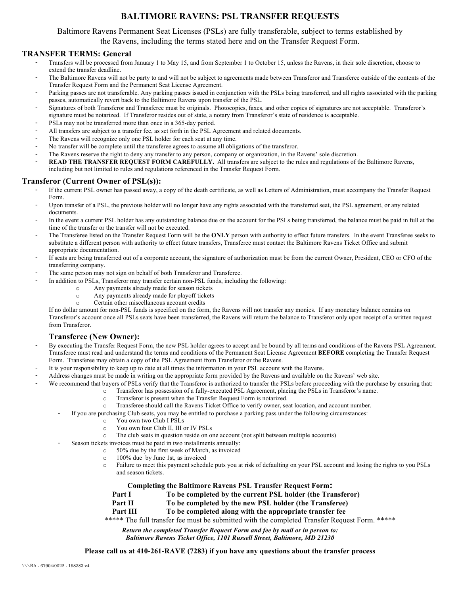# **BALTIMORE RAVENS: PSL TRANSFER REQUESTS**

### Baltimore Ravens Permanent Seat Licenses (PSLs) are fully transferable, subject to terms established by the Ravens, including the terms stated here and on the Transfer Request Form.

## **TRANSFER TERMS: General**

- Transfers will be processed from January 1 to May 15, and from September 1 to October 15, unless the Ravens, in their sole discretion, choose to extend the transfer deadline.
- The Baltimore Ravens will not be party to and will not be subject to agreements made between Transferor and Transferee outside of the contents of the Transfer Request Form and the Permanent Seat License Agreement.
- Parking passes are not transferable. Any parking passes issued in conjunction with the PSLs being transferred, and all rights associated with the parking passes, automatically revert back to the Baltimore Ravens upon transfer of the PSL.
- Signatures of both Transferor and Transferee must be originals. Photocopies, faxes, and other copies of signatures are not acceptable. Transferor's signature must be notarized. If Transferor resides out of state, a notary from Transferor's state of residence is acceptable.
- PSLs may not be transferred more than once in a 365-day period.
- All transfers are subject to a transfer fee, as set forth in the PSL Agreement and related documents.
- The Ravens will recognize only one PSL holder for each seat at any time.
- No transfer will be complete until the transferee agrees to assume all obligations of the transferor.
- The Ravens reserve the right to deny any transfer to any person, company or organization, in the Ravens' sole discretion.
- READ THE TRANSFER REQUEST FORM CAREFULLY. All transfers are subject to the rules and regulations of the Baltimore Ravens, including but not limited to rules and regulations referenced in the Transfer Request Form.

#### **Transferor (Current Owner of PSL(s)):**

- If the current PSL owner has passed away, a copy of the death certificate, as well as Letters of Administration, must accompany the Transfer Request Form.
- Upon transfer of a PSL, the previous holder will no longer have any rights associated with the transferred seat, the PSL agreement, or any related documents.
- In the event a current PSL holder has any outstanding balance due on the account for the PSLs being transferred, the balance must be paid in full at the time of the transfer or the transfer will not be executed.
- The Transferee listed on the Transfer Request Form will be the **ONLY** person with authority to effect future transfers. In the event Transferee seeks to substitute a different person with authority to effect future transfers, Transferee must contact the Baltimore Ravens Ticket Office and submit appropriate documentation.
- If seats are being transferred out of a corporate account, the signature of authorization must be from the current Owner, President, CEO or CFO of the transferring company.
- The same person may not sign on behalf of both Transferor and Transferee.
- In addition to PSLs, Transferor may transfer certain non-PSL funds, including the following:
	- o Any payments already made for season tickets
	- o Any payments already made for playoff tickets
	- o Certain other miscellaneous account credits

If no dollar amount for non-PSL funds is specified on the form, the Ravens will not transfer any monies. If any monetary balance remains on Transferor's account once all PSLs seats have been transferred, the Ravens will return the balance to Transferor only upon receipt of a written request from Transferor.

### **Transferee (New Owner):**

- By executing the Transfer Request Form, the new PSL holder agrees to accept and be bound by all terms and conditions of the Ravens PSL Agreement. Transferee must read and understand the terms and conditions of the Permanent Seat License Agreement **BEFORE** completing the Transfer Request Form. Transferee may obtain a copy of the PSL Agreement from Transferor or the Ravens.
- It is your responsibility to keep up to date at all times the information in your PSL account with the Ravens.
- Address changes must be made in writing on the appropriate form provided by the Ravens and available on the Ravens' web site.
	- We recommend that buyers of PSLs verify that the Transferor is authorized to transfer the PSLs before proceeding with the purchase by ensuring that:
		- o Transferor has possession of a fully-executed PSL Agreement, placing the PSLs in Transferor's name.
			- o Transferor is present when the Transfer Request Form is notarized.
			- o Transferee should call the Ravens Ticket Office to verify owner, seat location, and account number.
		- If you are purchasing Club seats, you may be entitled to purchase a parking pass under the following circumstances:
			- o You own two Club I PSLs
			- o You own four Club II, III or IV PSLs
			- o The club seats in question reside on one account (not split between multiple accounts)
			- Season tickets invoices must be paid in two installments annually:
				- o 50% due by the first week of March, as invoiced
				- o 100% due by June 1st, as invoiced
				- o Failure to meet this payment schedule puts you at risk of defaulting on your PSL account and losing the rights to you PSLs and season tickets.

# **Completing the Baltimore Ravens PSL Transfer Request Form:** Part I To be completed by the current PSL holder (the Transferor)

- 
- **Part II** To be completed by the new PSL holder (the Transferee)
- **Part III To be completed along with the appropriate transfer fee**

\*\*\*\*\* The full transfer fee must be submitted with the completed Transfer Request Form. \*\*\*\*\*

*Return the completed Transfer Request Form and fee by mail or in person to:*

#### *Baltimore Ravens Ticket Office, 1101 Russell Street, Baltimore, MD 21230*

**Please call us at 410-261-RAVE (7283) if you have any questions about the transfer process**